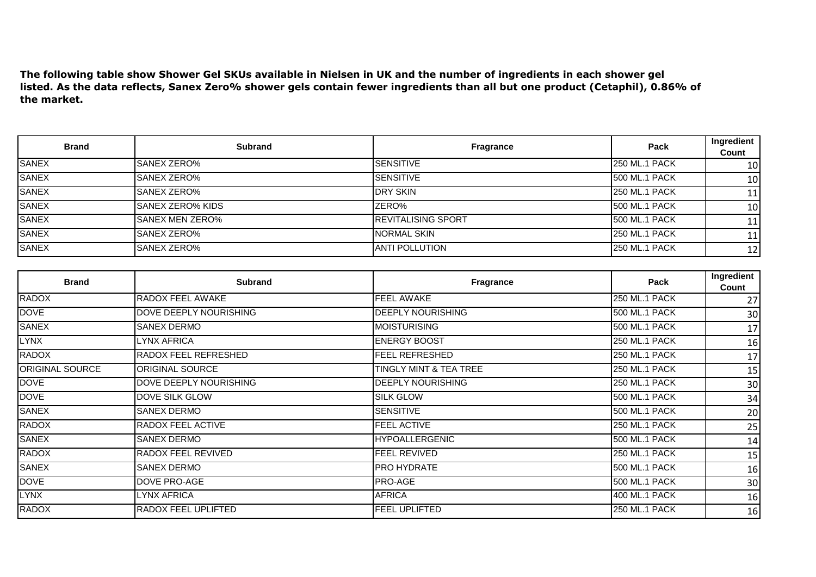**The following table show Shower Gel SKUs available in Nielsen in UK and the number of ingredients in each shower gel listed. As the data reflects, Sanex Zero% shower gels contain fewer ingredients than all but one product (Cetaphil), 0.86% of the market.** 

| <b>Brand</b> | <b>Subrand</b>          | <b>Fragrance</b>           | Pack                 | Ingredient<br>Count |
|--------------|-------------------------|----------------------------|----------------------|---------------------|
| <b>SANEX</b> | ISANEX ZERO%            | <b>SENSITIVE</b>           | <b>250 ML.1 PACK</b> | 10 <sub>l</sub>     |
| <b>SANEX</b> | <b>SANEX ZERO%</b>      | <b>SENSITIVE</b>           | 500 ML.1 PACK        | 10                  |
| <b>SANEX</b> | <b>SANEX ZERO%</b>      | <b>IDRY SKIN</b>           | 250 ML.1 PACK        | 11                  |
| SANEX        | <b>SANEX ZERO% KIDS</b> | ZERO%                      | 500 ML.1 PACK        | 10                  |
| <b>SANEX</b> | <b>SANEX MEN ZERO%</b>  | <b>IREVITALISING SPORT</b> | 500 ML.1 PACK        | 11                  |
| SANEX        | <b>SANEX ZERO%</b>      | INORMAL SKIN               | 250 ML.1 PACK        | 11                  |
| <b>SANEX</b> | <b>SANEX ZERO%</b>      | <b>ANTI POLLUTION</b>      | 250 ML.1 PACK        | 12                  |

| <b>Brand</b>    | <b>Subrand</b>         | Fragrance              | Pack                 | Ingredient<br>Count |
|-----------------|------------------------|------------------------|----------------------|---------------------|
| <b>RADOX</b>    | RADOX FEEL AWAKE       | FEEL AWAKE             | 250 ML.1 PACK        | 27                  |
| <b>DOVE</b>     | DOVE DEEPLY NOURISHING | DEEPLY NOURISHING      | 500 ML.1 PACK        | 30                  |
| <b>SANEX</b>    | SANEX DERMO            | <b>MOISTURISING</b>    | 500 ML.1 PACK        | 17                  |
| <b>LYNX</b>     | LYNX AFRICA            | <b>ENERGY BOOST</b>    | <b>250 ML.1 PACK</b> | 16                  |
| <b>RADOX</b>    | RADOX FEEL REFRESHED   | <b>FEEL REFRESHED</b>  | 250 ML.1 PACK        | 17                  |
| ORIGINAL SOURCE | ORIGINAL SOURCE        | TINGLY MINT & TEA TREE | <b>250 ML.1 PACK</b> | 15                  |
| <b>DOVE</b>     | DOVE DEEPLY NOURISHING | DEEPLY NOURISHING      | <b>250 ML.1 PACK</b> | 30                  |
| <b>DOVE</b>     | DOVE SILK GLOW         | <b>SILK GLOW</b>       | 500 ML.1 PACK        | 34                  |
| <b>SANEX</b>    | <b>SANEX DERMO</b>     | <b>SENSITIVE</b>       | 500 ML.1 PACK        | 20                  |
| <b>RADOX</b>    | RADOX FEEL ACTIVE      | FEEL ACTIVE            | <b>250 ML.1 PACK</b> | 25                  |
| <b>SANEX</b>    | <b>SANEX DERMO</b>     | <b>HYPOALLERGENIC</b>  | 500 ML.1 PACK        | 14                  |
| <b>RADOX</b>    | RADOX FEEL REVIVED     | FEEL REVIVED           | <b>250 ML.1 PACK</b> | 15                  |
| <b>SANEX</b>    | SANEX DERMO            | PRO HYDRATE            | 500 ML.1 PACK        | 16                  |
| <b>DOVE</b>     | DOVE PRO-AGE           | PRO-AGE                | 500 ML.1 PACK        | 30                  |
| <b>LYNX</b>     | LYNX AFRICA            | <b>AFRICA</b>          | 400 ML.1 PACK        | 16                  |
| <b>RADOX</b>    | RADOX FEEL UPLIFTED    | <b>FEEL UPLIFTED</b>   | <b>250 ML.1 PACK</b> | 16                  |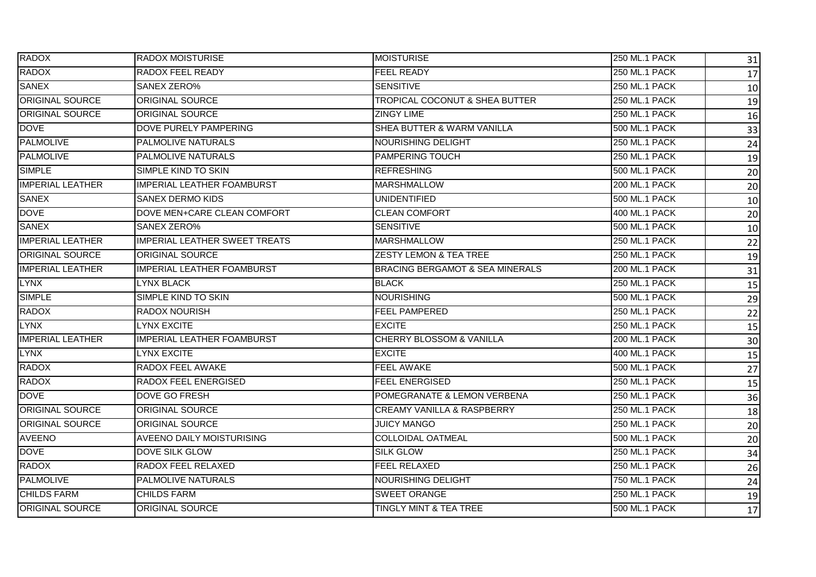| <b>RADOX</b>            | <b>RADOX MOISTURISE</b>              | <b>MOISTURISE</b>                          | <b>250 ML.1 PACK</b> | 31 |
|-------------------------|--------------------------------------|--------------------------------------------|----------------------|----|
| <b>RADOX</b>            | RADOX FEEL READY                     | <b>FEEL READY</b>                          | <b>250 ML.1 PACK</b> | 17 |
| <b>SANEX</b>            | <b>SANEX ZERO%</b>                   | <b>SENSITIVE</b>                           | <b>250 ML.1 PACK</b> | 10 |
| <b>ORIGINAL SOURCE</b>  | <b>ORIGINAL SOURCE</b>               | TROPICAL COCONUT & SHEA BUTTER             | 250 ML.1 PACK        | 19 |
| <b>ORIGINAL SOURCE</b>  | ORIGINAL SOURCE                      | <b>ZINGY LIME</b>                          | <b>250 ML.1 PACK</b> | 16 |
| <b>DOVE</b>             | DOVE PURELY PAMPERING                | SHEA BUTTER & WARM VANILLA                 | 500 ML.1 PACK        | 33 |
| <b>PALMOLIVE</b>        | <b>PALMOLIVE NATURALS</b>            | NOURISHING DELIGHT                         | <b>250 ML.1 PACK</b> | 24 |
| <b>PALMOLIVE</b>        | <b>PALMOLIVE NATURALS</b>            | <b>PAMPERING TOUCH</b>                     | <b>250 ML.1 PACK</b> | 19 |
| <b>SIMPLE</b>           | SIMPLE KIND TO SKIN                  | <b>REFRESHING</b>                          | <b>500 ML.1 PACK</b> | 20 |
| <b>IMPERIAL LEATHER</b> | <b>IMPERIAL LEATHER FOAMBURST</b>    | <b>MARSHMALLOW</b>                         | 200 ML.1 PACK        | 20 |
| <b>SANEX</b>            | <b>SANEX DERMO KIDS</b>              | <b>UNIDENTIFIED</b>                        | 500 ML.1 PACK        | 10 |
| <b>DOVE</b>             | DOVE MEN+CARE CLEAN COMFORT          | <b>CLEAN COMFORT</b>                       | 400 ML.1 PACK        | 20 |
| <b>SANEX</b>            | SANEX ZERO%                          | <b>SENSITIVE</b>                           | 500 ML.1 PACK        | 10 |
| <b>IMPERIAL LEATHER</b> | <b>IMPERIAL LEATHER SWEET TREATS</b> | <b>MARSHMALLOW</b>                         | 250 ML.1 PACK        | 22 |
| <b>ORIGINAL SOURCE</b>  | <b>ORIGINAL SOURCE</b>               | <b>ZESTY LEMON &amp; TEA TREE</b>          | <b>250 ML.1 PACK</b> | 19 |
| <b>IMPERIAL LEATHER</b> | <b>IMPERIAL LEATHER FOAMBURST</b>    | <b>BRACING BERGAMOT &amp; SEA MINERALS</b> | 200 ML.1 PACK        | 31 |
| LYNX                    | <b>LYNX BLACK</b>                    | <b>BLACK</b>                               | 250 ML.1 PACK        | 15 |
| <b>SIMPLE</b>           | SIMPLE KIND TO SKIN                  | <b>NOURISHING</b>                          | <b>500 ML.1 PACK</b> | 29 |
| RADOX                   | <b>RADOX NOURISH</b>                 | <b>FEEL PAMPERED</b>                       | <b>250 ML.1 PACK</b> | 22 |
| <b>LYNX</b>             | LYNX EXCITE                          | <b>EXCITE</b>                              | <b>250 ML.1 PACK</b> | 15 |
| <b>IMPERIAL LEATHER</b> | <b>IMPERIAL LEATHER FOAMBURST</b>    | <b>CHERRY BLOSSOM &amp; VANILLA</b>        | <b>200 ML.1 PACK</b> | 30 |
| <b>LYNX</b>             | <b>LYNX EXCITE</b>                   | <b>EXCITE</b>                              | 400 ML.1 PACK        | 15 |
| <b>RADOX</b>            | RADOX FEEL AWAKE                     | <b>FEEL AWAKE</b>                          | <b>500 ML.1 PACK</b> | 27 |
| <b>RADOX</b>            | RADOX FEEL ENERGISED                 | <b>FEEL ENERGISED</b>                      | <b>250 ML.1 PACK</b> | 15 |
| <b>DOVE</b>             | <b>DOVE GO FRESH</b>                 | POMEGRANATE & LEMON VERBENA                | 250 ML.1 PACK        | 36 |
| <b>ORIGINAL SOURCE</b>  | <b>ORIGINAL SOURCE</b>               | <b>CREAMY VANILLA &amp; RASPBERRY</b>      | <b>250 ML.1 PACK</b> | 18 |
| <b>ORIGINAL SOURCE</b>  | <b>ORIGINAL SOURCE</b>               | <b>JUICY MANGO</b>                         | <b>250 ML.1 PACK</b> | 20 |
| <b>AVEENO</b>           | <b>AVEENO DAILY MOISTURISING</b>     | <b>COLLOIDAL OATMEAL</b>                   | 500 ML.1 PACK        | 20 |
| <b>DOVE</b>             | <b>DOVE SILK GLOW</b>                | <b>SILK GLOW</b>                           | <b>250 ML.1 PACK</b> | 34 |
| <b>RADOX</b>            | RADOX FEEL RELAXED                   | <b>FEEL RELAXED</b>                        | <b>250 ML.1 PACK</b> | 26 |
| <b>PALMOLIVE</b>        | PALMOLIVE NATURALS                   | NOURISHING DELIGHT                         | 750 ML.1 PACK        | 24 |
| <b>CHILDS FARM</b>      | <b>CHILDS FARM</b>                   | <b>SWEET ORANGE</b>                        | 250 ML.1 PACK        | 19 |
| <b>ORIGINAL SOURCE</b>  | <b>ORIGINAL SOURCE</b>               | <b>TINGLY MINT &amp; TEA TREE</b>          | <b>500 ML.1 PACK</b> | 17 |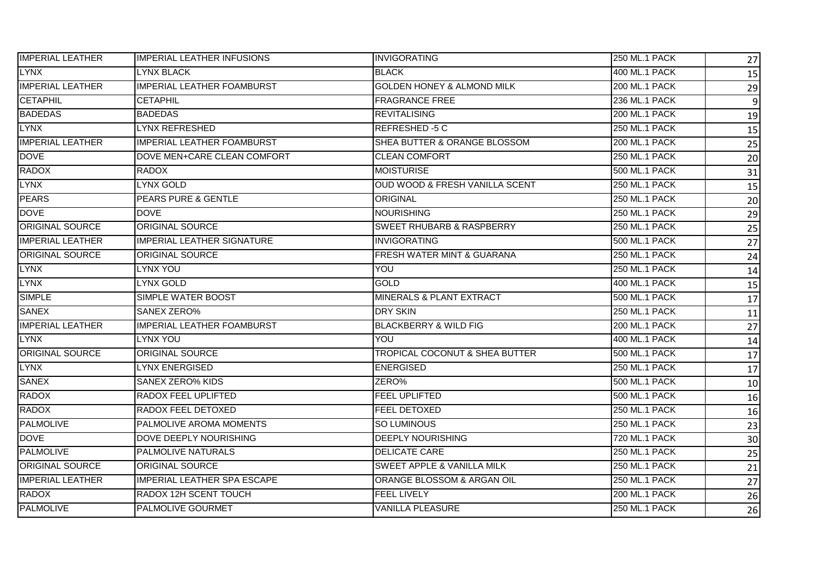| <b>IMPERIAL LEATHER</b> | <b>IMPERIAL LEATHER INFUSIONS</b>  | <b>INVIGORATING</b>                       | <b>250 ML.1 PACK</b> | 27              |
|-------------------------|------------------------------------|-------------------------------------------|----------------------|-----------------|
| <b>LYNX</b>             | <b>LYNX BLACK</b>                  | <b>BLACK</b>                              | 400 ML.1 PACK        | 15              |
| <b>IMPERIAL LEATHER</b> | IMPERIAL LEATHER FOAMBURST         | GOLDEN HONEY & ALMOND MILK                | 200 ML.1 PACK        | 29              |
| <b>CETAPHIL</b>         | <b>CETAPHIL</b>                    | <b>FRAGRANCE FREE</b>                     | 236 ML.1 PACK        | $\overline{9}$  |
| <b>BADEDAS</b>          | <b>BADEDAS</b>                     | <b>REVITALISING</b>                       | 200 ML.1 PACK        | 19              |
| <b>LYNX</b>             | <b>LYNX REFRESHED</b>              | REFRESHED-5 C                             | 250 ML.1 PACK        | 15              |
| <b>IMPERIAL LEATHER</b> | <b>IMPERIAL LEATHER FOAMBURST</b>  | SHEA BUTTER & ORANGE BLOSSOM              | <b>200 ML.1 PACK</b> | 25              |
| <b>DOVE</b>             | DOVE MEN+CARE CLEAN COMFORT        | <b>CLEAN COMFORT</b>                      | <b>250 ML.1 PACK</b> | 20              |
| <b>RADOX</b>            | RADOX                              | <b>MOISTURISE</b>                         | 500 ML.1 PACK        | 31              |
| <b>LYNX</b>             | <b>LYNX GOLD</b>                   | OUD WOOD & FRESH VANILLA SCENT            | 250 ML.1 PACK        | 15              |
| <b>PEARS</b>            | <b>PEARS PURE &amp; GENTLE</b>     | ORIGINAL                                  | <b>250 ML.1 PACK</b> | 20              |
| <b>DOVE</b>             | <b>DOVE</b>                        | <b>NOURISHING</b>                         | <b>250 ML.1 PACK</b> | 29              |
| ORIGINAL SOURCE         | ORIGINAL SOURCE                    | <b>SWEET RHUBARB &amp; RASPBERRY</b>      | <b>250 ML.1 PACK</b> | 25              |
| <b>IMPERIAL LEATHER</b> | <b>IMPERIAL LEATHER SIGNATURE</b>  | <b>INVIGORATING</b>                       | 500 ML.1 PACK        | 27              |
| <b>ORIGINAL SOURCE</b>  | <b>ORIGINAL SOURCE</b>             | FRESH WATER MINT & GUARANA                | <b>250 ML.1 PACK</b> | 24              |
| <b>LYNX</b>             | LYNX YOU                           | YOU                                       | <b>250 ML.1 PACK</b> | 14              |
| <b>LYNX</b>             | <b>LYNX GOLD</b>                   | <b>GOLD</b>                               | 400 ML.1 PACK        | 15              |
| <b>SIMPLE</b>           | <b>SIMPLE WATER BOOST</b>          | <b>MINERALS &amp; PLANT EXTRACT</b>       | 500 ML.1 PACK        | 17              |
| <b>SANEX</b>            | <b>SANEX ZERO%</b>                 | <b>DRY SKIN</b>                           | <b>250 ML.1 PACK</b> | 11              |
| <b>IMPERIAL LEATHER</b> | <b>IMPERIAL LEATHER FOAMBURST</b>  | <b>BLACKBERRY &amp; WILD FIG</b>          | <b>200 ML.1 PACK</b> | 27              |
| <b>LYNX</b>             | LYNX YOU                           | YOU                                       | 400 ML.1 PACK        | 14              |
| <b>ORIGINAL SOURCE</b>  | <b>ORIGINAL SOURCE</b>             | <b>TROPICAL COCONUT &amp; SHEA BUTTER</b> | <b>500 ML.1 PACK</b> | 17              |
| <b>LYNX</b>             | <b>LYNX ENERGISED</b>              | <b>ENERGISED</b>                          | <b>250 ML.1 PACK</b> | $\overline{17}$ |
| <b>SANEX</b>            | <b>SANEX ZERO% KIDS</b>            | ZERO%                                     | <b>500 ML.1 PACK</b> | 10              |
| <b>RADOX</b>            | RADOX FEEL UPLIFTED                | <b>FEEL UPLIFTED</b>                      | <b>500 ML.1 PACK</b> | 16              |
| <b>RADOX</b>            | RADOX FEEL DETOXED                 | <b>FEEL DETOXED</b>                       | <b>250 ML.1 PACK</b> | 16              |
| <b>PALMOLIVE</b>        | PALMOLIVE AROMA MOMENTS            | <b>SO LUMINOUS</b>                        | <b>250 ML.1 PACK</b> | 23              |
| <b>DOVE</b>             | DOVE DEEPLY NOURISHING             | <b>DEEPLY NOURISHING</b>                  | 720 ML.1 PACK        | 30              |
| <b>PALMOLIVE</b>        | PALMOLIVE NATURALS                 | <b>DELICATE CARE</b>                      | <b>250 ML.1 PACK</b> | 25              |
| <b>ORIGINAL SOURCE</b>  | <b>ORIGINAL SOURCE</b>             | <b>SWEET APPLE &amp; VANILLA MILK</b>     | <b>250 ML.1 PACK</b> | 21              |
| <b>IMPERIAL LEATHER</b> | <b>IMPERIAL LEATHER SPA ESCAPE</b> | ORANGE BLOSSOM & ARGAN OIL                | <b>250 ML.1 PACK</b> | 27              |
| <b>RADOX</b>            | RADOX 12H SCENT TOUCH              | FEEL LIVELY                               | 200 ML.1 PACK        | 26              |
| <b>PALMOLIVE</b>        | <b>PALMOLIVE GOURMET</b>           | <b>VANILLA PLEASURE</b>                   | <b>250 ML.1 PACK</b> | 26              |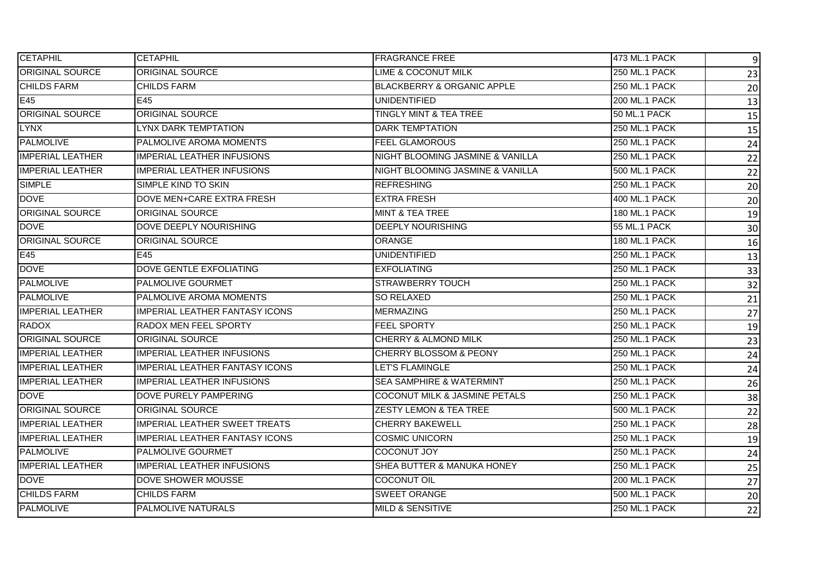| <b>CETAPHIL</b>         | <b>CETAPHIL</b>                       | <b>FRAGRANCE FREE</b>                 | 473 ML.1 PACK        | $\boldsymbol{9}$ |
|-------------------------|---------------------------------------|---------------------------------------|----------------------|------------------|
| <b>ORIGINAL SOURCE</b>  | <b>ORIGINAL SOURCE</b>                | <b>LIME &amp; COCONUT MILK</b>        | 250 ML.1 PACK        | 23               |
| <b>CHILDS FARM</b>      | <b>CHILDS FARM</b>                    | <b>BLACKBERRY &amp; ORGANIC APPLE</b> | 250 ML.1 PACK        | 20               |
| E45                     | E45                                   | <b>UNIDENTIFIED</b>                   | <b>200 ML.1 PACK</b> | 13               |
| ORIGINAL SOURCE         | ORIGINAL SOURCE                       | TINGLY MINT & TEA TREE                | 50 ML.1 PACK         | 15               |
| <b>LYNX</b>             | <b>LYNX DARK TEMPTATION</b>           | <b>DARK TEMPTATION</b>                | 250 ML.1 PACK        | 15               |
| <b>PALMOLIVE</b>        | PALMOLIVE AROMA MOMENTS               | <b>FEEL GLAMOROUS</b>                 | <b>250 ML.1 PACK</b> | 24               |
| <b>IMPERIAL LEATHER</b> | <b>IMPERIAL LEATHER INFUSIONS</b>     | NIGHT BLOOMING JASMINE & VANILLA      | <b>250 ML.1 PACK</b> | 22               |
| <b>IMPERIAL LEATHER</b> | <b>IMPERIAL LEATHER INFUSIONS</b>     | NIGHT BLOOMING JASMINE & VANILLA      | 500 ML.1 PACK        | 22               |
| <b>SIMPLE</b>           | SIMPLE KIND TO SKIN                   | <b>REFRESHING</b>                     | 250 ML.1 PACK        | 20               |
| <b>DOVE</b>             | DOVE MEN+CARE EXTRA FRESH             | <b>EXTRA FRESH</b>                    | 400 ML.1 PACK        | 20               |
| <b>ORIGINAL SOURCE</b>  | <b>ORIGINAL SOURCE</b>                | <b>MINT &amp; TEA TREE</b>            | 180 ML.1 PACK        | 19               |
| <b>DOVE</b>             | DOVE DEEPLY NOURISHING                | <b>DEEPLY NOURISHING</b>              | 55 ML.1 PACK         | 30               |
| <b>ORIGINAL SOURCE</b>  | <b>ORIGINAL SOURCE</b>                | <b>ORANGE</b>                         | 180 ML.1 PACK        | 16               |
| E45                     | E45                                   | <b>UNIDENTIFIED</b>                   | <b>250 ML.1 PACK</b> | 13               |
| <b>DOVE</b>             | DOVE GENTLE EXFOLIATING               | <b>EXFOLIATING</b>                    | <b>250 ML.1 PACK</b> | 33               |
| <b>PALMOLIVE</b>        | PALMOLIVE GOURMET                     | <b>STRAWBERRY TOUCH</b>               | 250 ML.1 PACK        | 32               |
| <b>PALMOLIVE</b>        | PALMOLIVE AROMA MOMENTS               | SO RELAXED                            | <b>250 ML.1 PACK</b> | 21               |
| <b>IMPERIAL LEATHER</b> | <b>IMPERIAL LEATHER FANTASY ICONS</b> | <b>MERMAZING</b>                      | <b>250 ML.1 PACK</b> | 27               |
| <b>RADOX</b>            | RADOX MEN FEEL SPORTY                 | <b>FEEL SPORTY</b>                    | <b>250 ML.1 PACK</b> | 19               |
| <b>ORIGINAL SOURCE</b>  | <b>ORIGINAL SOURCE</b>                | CHERRY & ALMOND MILK                  | <b>250 ML.1 PACK</b> | 23               |
| <b>IMPERIAL LEATHER</b> | <b>IMPERIAL LEATHER INFUSIONS</b>     | <b>CHERRY BLOSSOM &amp; PEONY</b>     | <b>250 ML.1 PACK</b> | 24               |
| <b>IMPERIAL LEATHER</b> | <b>IMPERIAL LEATHER FANTASY ICONS</b> | LET'S FLAMINGLE                       | <b>250 ML.1 PACK</b> | 24               |
| <b>IMPERIAL LEATHER</b> | <b>IMPERIAL LEATHER INFUSIONS</b>     | <b>SEA SAMPHIRE &amp; WATERMINT</b>   | 250 ML.1 PACK        | 26               |
| <b>DOVE</b>             | DOVE PURELY PAMPERING                 | COCONUT MILK & JASMINE PETALS         | 250 ML.1 PACK        | 38               |
| <b>ORIGINAL SOURCE</b>  | <b>ORIGINAL SOURCE</b>                | <b>ZESTY LEMON &amp; TEA TREE</b>     | <b>500 ML.1 PACK</b> | 22               |
| <b>IMPERIAL LEATHER</b> | <b>IMPERIAL LEATHER SWEET TREATS</b>  | <b>CHERRY BAKEWELL</b>                | <b>250 ML.1 PACK</b> | 28               |
| <b>IMPERIAL LEATHER</b> | <b>IMPERIAL LEATHER FANTASY ICONS</b> | <b>COSMIC UNICORN</b>                 | 250 ML.1 PACK        | 19               |
| <b>PALMOLIVE</b>        | PALMOLIVE GOURMET                     | <b>COCONUT JOY</b>                    | <b>250 ML.1 PACK</b> | 24               |
| <b>IMPERIAL LEATHER</b> | <b>IMPERIAL LEATHER INFUSIONS</b>     | SHEA BUTTER & MANUKA HONEY            | <b>250 ML.1 PACK</b> | 25               |
| <b>DOVE</b>             | DOVE SHOWER MOUSSE                    | <b>COCONUT OIL</b>                    | 200 ML.1 PACK        | 27               |
| <b>CHILDS FARM</b>      | <b>CHILDS FARM</b>                    | <b>SWEET ORANGE</b>                   | 500 ML.1 PACK        | 20               |
| <b>PALMOLIVE</b>        | <b>PALMOLIVE NATURALS</b>             | <b>MILD &amp; SENSITIVE</b>           | <b>250 ML.1 PACK</b> | 22               |